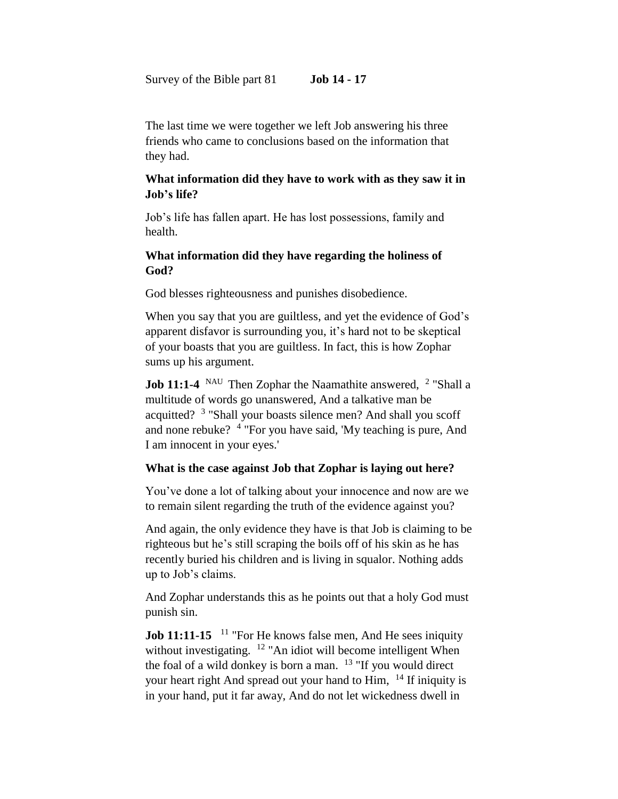Survey of the Bible part 81 **Job 14 - 17**

The last time we were together we left Job answering his three friends who came to conclusions based on the information that they had.

### **What information did they have to work with as they saw it in Job's life?**

Job's life has fallen apart. He has lost possessions, family and health.

## **What information did they have regarding the holiness of God?**

God blesses righteousness and punishes disobedience.

When you say that you are guiltless, and yet the evidence of God's apparent disfavor is surrounding you, it's hard not to be skeptical of your boasts that you are guiltless. In fact, this is how Zophar sums up his argument.

**Job 11:1-4** NAU Then Zophar the Naamathite answered, <sup>2</sup> "Shall a multitude of words go unanswered, And a talkative man be acquitted? <sup>3</sup> "Shall your boasts silence men? And shall you scoff and none rebuke? <sup>4</sup> "For you have said, 'My teaching is pure, And I am innocent in your eyes.'

## **What is the case against Job that Zophar is laying out here?**

You've done a lot of talking about your innocence and now are we to remain silent regarding the truth of the evidence against you?

And again, the only evidence they have is that Job is claiming to be righteous but he's still scraping the boils off of his skin as he has recently buried his children and is living in squalor. Nothing adds up to Job's claims.

And Zophar understands this as he points out that a holy God must punish sin.

**Job 11:11-15** <sup>11</sup> "For He knows false men, And He sees iniquity without investigating.  $12$  "An idiot will become intelligent When the foal of a wild donkey is born a man.  $13$  "If you would direct your heart right And spread out your hand to Him, <sup>14</sup> If iniquity is in your hand, put it far away, And do not let wickedness dwell in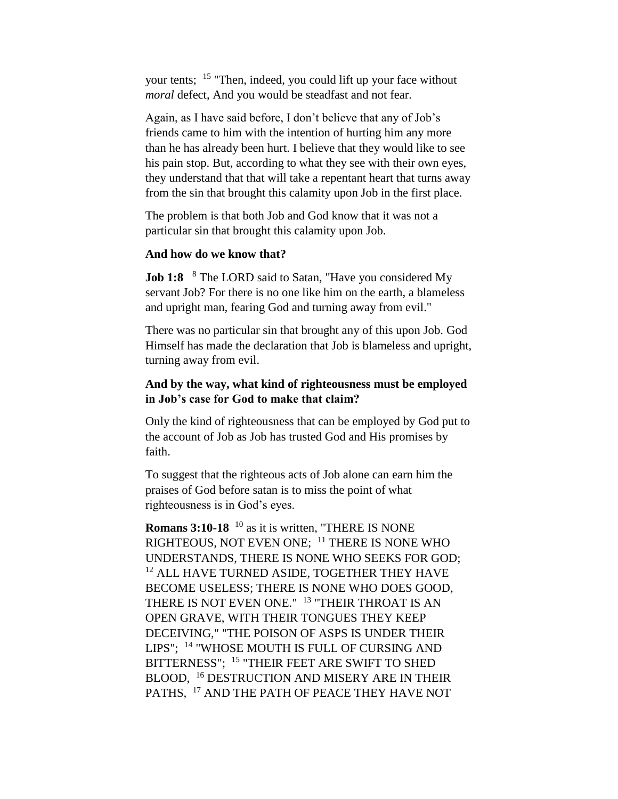your tents; <sup>15</sup> "Then, indeed, you could lift up your face without *moral* defect, And you would be steadfast and not fear.

Again, as I have said before, I don't believe that any of Job's friends came to him with the intention of hurting him any more than he has already been hurt. I believe that they would like to see his pain stop. But, according to what they see with their own eyes, they understand that that will take a repentant heart that turns away from the sin that brought this calamity upon Job in the first place.

The problem is that both Job and God know that it was not a particular sin that brought this calamity upon Job.

#### **And how do we know that?**

**Job 1:8**  <sup>8</sup> The LORD said to Satan, "Have you considered My servant Job? For there is no one like him on the earth, a blameless and upright man, fearing God and turning away from evil."

There was no particular sin that brought any of this upon Job. God Himself has made the declaration that Job is blameless and upright, turning away from evil.

### **And by the way, what kind of righteousness must be employed in Job's case for God to make that claim?**

Only the kind of righteousness that can be employed by God put to the account of Job as Job has trusted God and His promises by faith.

To suggest that the righteous acts of Job alone can earn him the praises of God before satan is to miss the point of what righteousness is in God's eyes.

**Romans 3:10-18** <sup>10</sup> as it is written, "THERE IS NONE RIGHTEOUS, NOT EVEN ONE; <sup>11</sup> THERE IS NONE WHO UNDERSTANDS, THERE IS NONE WHO SEEKS FOR GOD; <sup>12</sup> ALL HAVE TURNED ASIDE, TOGETHER THEY HAVE BECOME USELESS; THERE IS NONE WHO DOES GOOD, THERE IS NOT EVEN ONE." <sup>13</sup> "THEIR THROAT IS AN OPEN GRAVE, WITH THEIR TONGUES THEY KEEP DECEIVING," "THE POISON OF ASPS IS UNDER THEIR LIPS"; <sup>14</sup> "WHOSE MOUTH IS FULL OF CURSING AND BITTERNESS"; <sup>15</sup> "THEIR FEET ARE SWIFT TO SHED BLOOD, <sup>16</sup> DESTRUCTION AND MISERY ARE IN THEIR PATHS, <sup>17</sup> AND THE PATH OF PEACE THEY HAVE NOT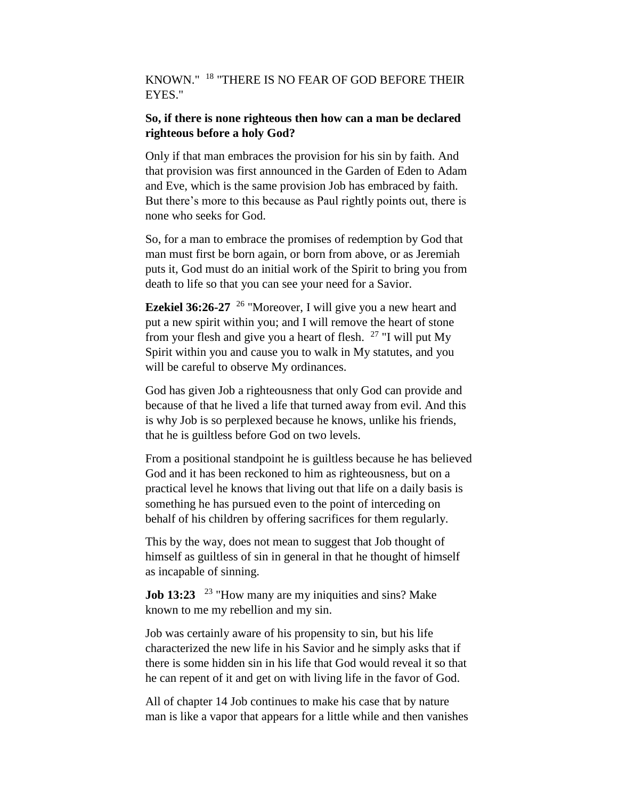# KNOWN." <sup>18</sup> "THERE IS NO FEAR OF GOD BEFORE THEIR EYES."

### **So, if there is none righteous then how can a man be declared righteous before a holy God?**

Only if that man embraces the provision for his sin by faith. And that provision was first announced in the Garden of Eden to Adam and Eve, which is the same provision Job has embraced by faith. But there's more to this because as Paul rightly points out, there is none who seeks for God.

So, for a man to embrace the promises of redemption by God that man must first be born again, or born from above, or as Jeremiah puts it, God must do an initial work of the Spirit to bring you from death to life so that you can see your need for a Savior.

**Ezekiel 36:26-27** <sup>26</sup> "Moreover, I will give you a new heart and put a new spirit within you; and I will remove the heart of stone from your flesh and give you a heart of flesh.  $27$  "I will put My Spirit within you and cause you to walk in My statutes, and you will be careful to observe My ordinances.

God has given Job a righteousness that only God can provide and because of that he lived a life that turned away from evil. And this is why Job is so perplexed because he knows, unlike his friends, that he is guiltless before God on two levels.

From a positional standpoint he is guiltless because he has believed God and it has been reckoned to him as righteousness, but on a practical level he knows that living out that life on a daily basis is something he has pursued even to the point of interceding on behalf of his children by offering sacrifices for them regularly.

This by the way, does not mean to suggest that Job thought of himself as guiltless of sin in general in that he thought of himself as incapable of sinning.

**Job 13:23** <sup>23</sup> "How many are my iniquities and sins? Make known to me my rebellion and my sin.

Job was certainly aware of his propensity to sin, but his life characterized the new life in his Savior and he simply asks that if there is some hidden sin in his life that God would reveal it so that he can repent of it and get on with living life in the favor of God.

All of chapter 14 Job continues to make his case that by nature man is like a vapor that appears for a little while and then vanishes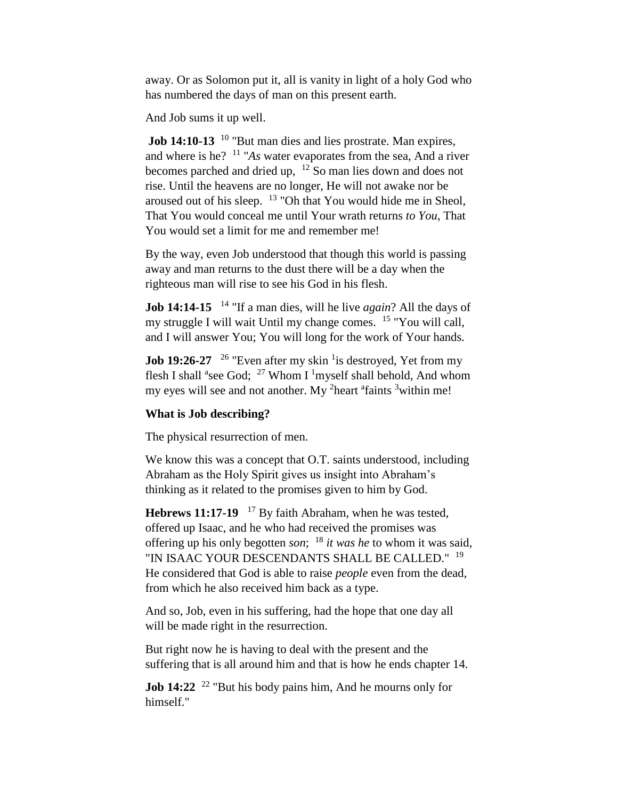away. Or as Solomon put it, all is vanity in light of a holy God who has numbered the days of man on this present earth.

And Job sums it up well.

**Job 14:10-13** <sup>10</sup> "But man dies and lies prostrate. Man expires, and where is he? <sup>11</sup> "*As* water evaporates from the sea, And a river becomes parched and dried up, <sup>12</sup> So man lies down and does not rise. Until the heavens are no longer, He will not awake nor be aroused out of his sleep. <sup>13</sup> "Oh that You would hide me in Sheol, That You would conceal me until Your wrath returns *to You*, That You would set a limit for me and remember me!

By the way, even Job understood that though this world is passing away and man returns to the dust there will be a day when the righteous man will rise to see his God in his flesh.

**Job 14:14-15** <sup>14</sup> "If a man dies, will he live *again*? All the days of my struggle I will wait Until my change comes. <sup>15</sup> "You will call, and I will answer You; You will long for the work of Your hands.

**Job 19:26-27** <sup>26</sup> "Even after my skin <sup>1</sup> is destroyed, Yet from my flesh I shall <sup>a</sup>see God; <sup>27</sup> Whom I <sup>1</sup>myself shall behold, And whom my eyes will see and not another. My <sup>2</sup>heart <sup>a</sup>faints <sup>3</sup>within me!

#### **What is Job describing?**

The physical resurrection of men.

We know this was a concept that O.T. saints understood, including Abraham as the Holy Spirit gives us insight into Abraham's thinking as it related to the promises given to him by God.

**Hebrews 11:17-19**  <sup>17</sup> By faith Abraham, when he was tested, offered up Isaac, and he who had received the promises was offering up his only begotten *son*; <sup>18</sup> *it was he* to whom it was said, "IN ISAAC YOUR DESCENDANTS SHALL BE CALLED." <sup>19</sup> He considered that God is able to raise *people* even from the dead, from which he also received him back as a type.

And so, Job, even in his suffering, had the hope that one day all will be made right in the resurrection.

But right now he is having to deal with the present and the suffering that is all around him and that is how he ends chapter 14.

**Job 14:22** <sup>22</sup> "But his body pains him, And he mourns only for himself."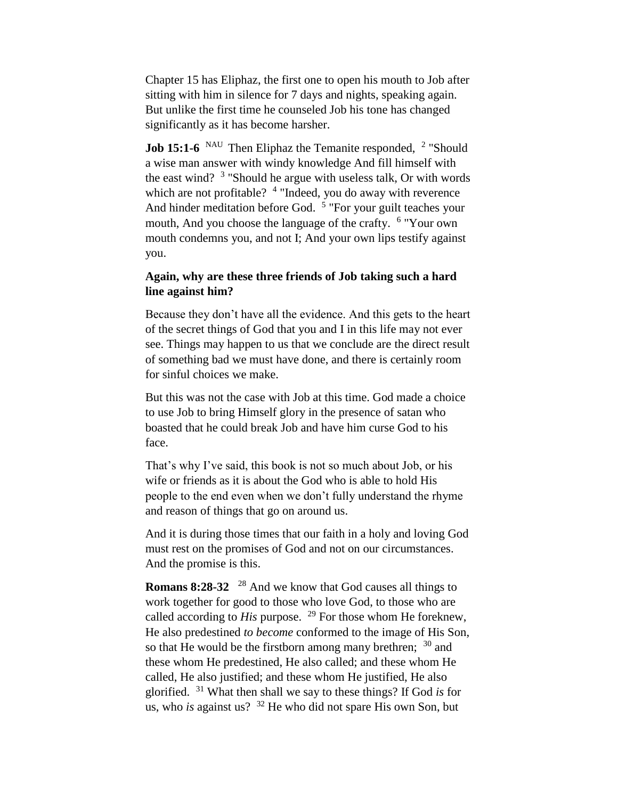Chapter 15 has Eliphaz, the first one to open his mouth to Job after sitting with him in silence for 7 days and nights, speaking again. But unlike the first time he counseled Job his tone has changed significantly as it has become harsher.

**Job 15:1-6** NAU Then Eliphaz the Temanite responded, <sup>2</sup> "Should a wise man answer with windy knowledge And fill himself with the east wind?  $3$  "Should he argue with useless talk, Or with words which are not profitable? <sup>4</sup> "Indeed, you do away with reverence And hinder meditation before God. <sup>5</sup> "For your guilt teaches your mouth, And you choose the language of the crafty. <sup>6</sup> "Your own mouth condemns you, and not I; And your own lips testify against you.

### **Again, why are these three friends of Job taking such a hard line against him?**

Because they don't have all the evidence. And this gets to the heart of the secret things of God that you and I in this life may not ever see. Things may happen to us that we conclude are the direct result of something bad we must have done, and there is certainly room for sinful choices we make.

But this was not the case with Job at this time. God made a choice to use Job to bring Himself glory in the presence of satan who boasted that he could break Job and have him curse God to his face.

That's why I've said, this book is not so much about Job, or his wife or friends as it is about the God who is able to hold His people to the end even when we don't fully understand the rhyme and reason of things that go on around us.

And it is during those times that our faith in a holy and loving God must rest on the promises of God and not on our circumstances. And the promise is this.

**Romans 8:28-32** <sup>28</sup> And we know that God causes all things to work together for good to those who love God, to those who are called according to *His* purpose. <sup>29</sup> For those whom He foreknew, He also predestined *to become* conformed to the image of His Son, so that He would be the firstborn among many brethren; <sup>30</sup> and these whom He predestined, He also called; and these whom He called, He also justified; and these whom He justified, He also glorified. <sup>31</sup> What then shall we say to these things? If God *is* for us, who *is* against us? <sup>32</sup> He who did not spare His own Son, but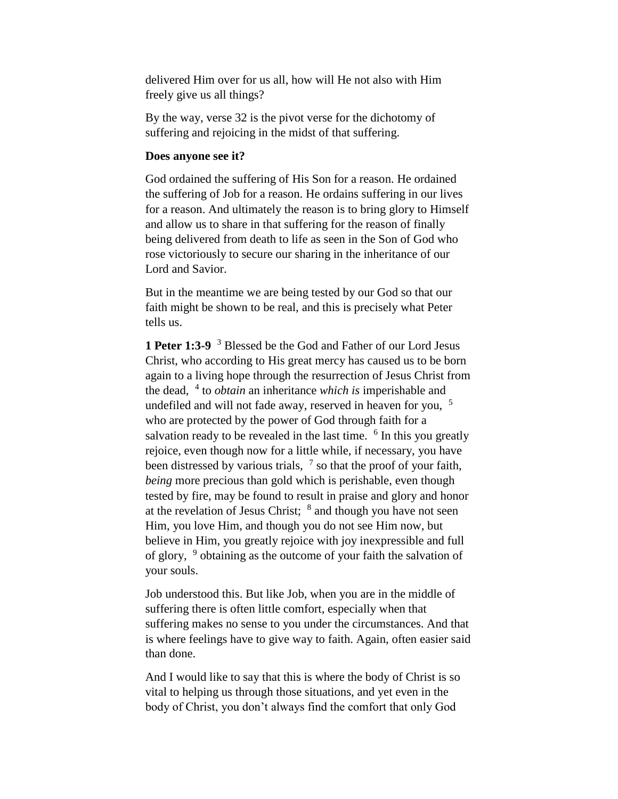delivered Him over for us all, how will He not also with Him freely give us all things?

By the way, verse 32 is the pivot verse for the dichotomy of suffering and rejoicing in the midst of that suffering.

#### **Does anyone see it?**

God ordained the suffering of His Son for a reason. He ordained the suffering of Job for a reason. He ordains suffering in our lives for a reason. And ultimately the reason is to bring glory to Himself and allow us to share in that suffering for the reason of finally being delivered from death to life as seen in the Son of God who rose victoriously to secure our sharing in the inheritance of our Lord and Savior.

But in the meantime we are being tested by our God so that our faith might be shown to be real, and this is precisely what Peter tells us.

**1 Peter 1:3-9** <sup>3</sup> Blessed be the God and Father of our Lord Jesus Christ, who according to His great mercy has caused us to be born again to a living hope through the resurrection of Jesus Christ from the dead, <sup>4</sup> to *obtain* an inheritance *which is* imperishable and undefiled and will not fade away, reserved in heaven for you,  $5$ who are protected by the power of God through faith for a salvation ready to be revealed in the last time. <sup>6</sup> In this you greatly rejoice, even though now for a little while, if necessary, you have been distressed by various trials,  $<sup>7</sup>$  so that the proof of your faith,</sup> *being* more precious than gold which is perishable, even though tested by fire, may be found to result in praise and glory and honor at the revelation of Jesus Christ;  $8$  and though you have not seen Him, you love Him, and though you do not see Him now, but believe in Him, you greatly rejoice with joy inexpressible and full of glory, <sup>9</sup> obtaining as the outcome of your faith the salvation of your souls.

Job understood this. But like Job, when you are in the middle of suffering there is often little comfort, especially when that suffering makes no sense to you under the circumstances. And that is where feelings have to give way to faith. Again, often easier said than done.

And I would like to say that this is where the body of Christ is so vital to helping us through those situations, and yet even in the body of Christ, you don't always find the comfort that only God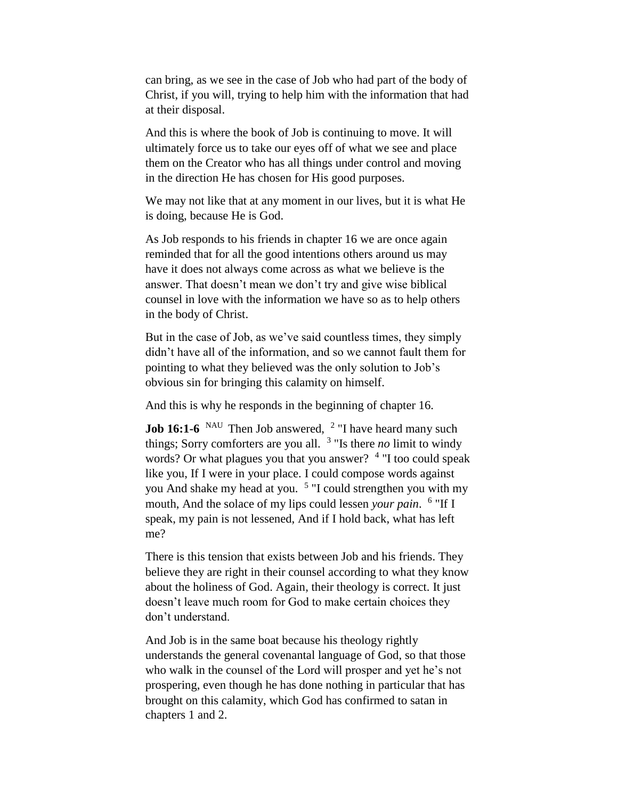can bring, as we see in the case of Job who had part of the body of Christ, if you will, trying to help him with the information that had at their disposal.

And this is where the book of Job is continuing to move. It will ultimately force us to take our eyes off of what we see and place them on the Creator who has all things under control and moving in the direction He has chosen for His good purposes.

We may not like that at any moment in our lives, but it is what He is doing, because He is God.

As Job responds to his friends in chapter 16 we are once again reminded that for all the good intentions others around us may have it does not always come across as what we believe is the answer. That doesn't mean we don't try and give wise biblical counsel in love with the information we have so as to help others in the body of Christ.

But in the case of Job, as we've said countless times, they simply didn't have all of the information, and so we cannot fault them for pointing to what they believed was the only solution to Job's obvious sin for bringing this calamity on himself.

And this is why he responds in the beginning of chapter 16.

**Job 16:1-6** <sup>NAU</sup> Then Job answered, <sup>2</sup> "I have heard many such things; Sorry comforters are you all. <sup>3</sup> "Is there *no* limit to windy words? Or what plagues you that you answer? <sup>4</sup> "I too could speak like you, If I were in your place. I could compose words against you And shake my head at you. <sup>5</sup> "I could strengthen you with my mouth, And the solace of my lips could lessen *your pain*. 6 "If I speak, my pain is not lessened, And if I hold back, what has left me?

There is this tension that exists between Job and his friends. They believe they are right in their counsel according to what they know about the holiness of God. Again, their theology is correct. It just doesn't leave much room for God to make certain choices they don't understand.

And Job is in the same boat because his theology rightly understands the general covenantal language of God, so that those who walk in the counsel of the Lord will prosper and yet he's not prospering, even though he has done nothing in particular that has brought on this calamity, which God has confirmed to satan in chapters 1 and 2.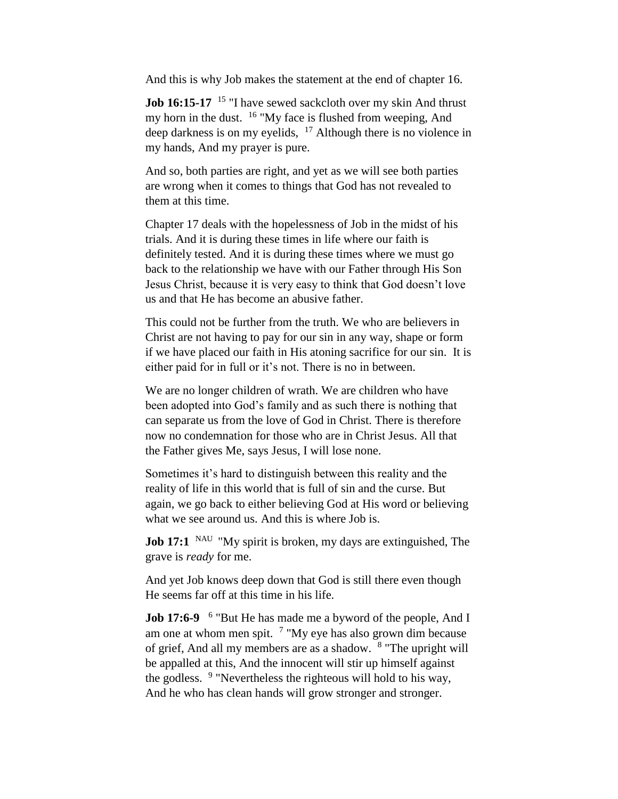And this is why Job makes the statement at the end of chapter 16.

**Job 16:15-17** <sup>15</sup> "I have sewed sackcloth over my skin And thrust my horn in the dust. <sup>16</sup> "My face is flushed from weeping, And deep darkness is on my eyelids,  $17$  Although there is no violence in my hands, And my prayer is pure.

And so, both parties are right, and yet as we will see both parties are wrong when it comes to things that God has not revealed to them at this time.

Chapter 17 deals with the hopelessness of Job in the midst of his trials. And it is during these times in life where our faith is definitely tested. And it is during these times where we must go back to the relationship we have with our Father through His Son Jesus Christ, because it is very easy to think that God doesn't love us and that He has become an abusive father.

This could not be further from the truth. We who are believers in Christ are not having to pay for our sin in any way, shape or form if we have placed our faith in His atoning sacrifice for our sin. It is either paid for in full or it's not. There is no in between.

We are no longer children of wrath. We are children who have been adopted into God's family and as such there is nothing that can separate us from the love of God in Christ. There is therefore now no condemnation for those who are in Christ Jesus. All that the Father gives Me, says Jesus, I will lose none.

Sometimes it's hard to distinguish between this reality and the reality of life in this world that is full of sin and the curse. But again, we go back to either believing God at His word or believing what we see around us. And this is where Job is.

**Job 17:1** <sup>NAU</sup> "My spirit is broken, my days are extinguished, The grave is *ready* for me.

And yet Job knows deep down that God is still there even though He seems far off at this time in his life.

**Job 17:6-9** <sup>6</sup> "But He has made me a byword of the people, And I am one at whom men spit.  $7 \text{ "My eye has also grown dim because}$ of grief, And all my members are as a shadow. <sup>8</sup> "The upright will be appalled at this, And the innocent will stir up himself against the godless. <sup>9</sup> "Nevertheless the righteous will hold to his way, And he who has clean hands will grow stronger and stronger.